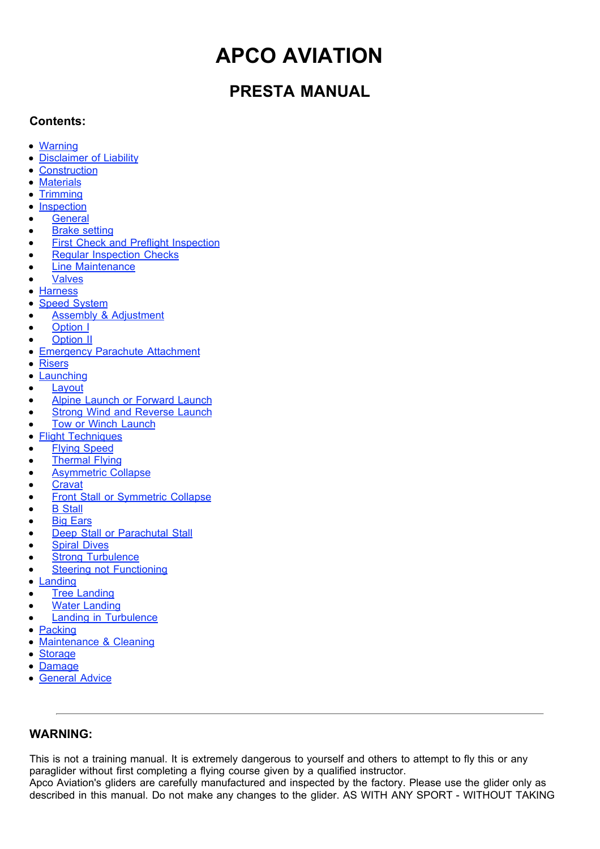# **APCO AVIATION**

## **PRESTA MANUAL**

### **Contents:**

- Warning
- Disclaimer of Liability
- **Construction**  $\bullet$
- **Materials**  $\bullet$
- **Trimming**  $\bullet$
- **Inspection**  $\bullet$
- **General**
- Brake setting  $\bullet$
- First Check and Preflight Inspection  $\bullet$
- Regular Inspection Checks
- Line Maintenance
- Valves
- $\bullet$ **Harness**
- Speed System  $\bullet$
- Assembly & Adjustment
- Option I  $\bullet$
- Option II
- Emergency Parachute Attachment  $\bullet$
- Risers  $\bullet$
- **Launching**  $\bullet$
- Layout
- Alpine Launch or Forward Launch
- **Strong Wind and Reverse Launch**  $\bullet$
- Tow or Winch Launch  $\bullet$
- Flight Techniques  $\bullet$
- Flying Speed
- Thermal Flying
- Asymmetric Collapse  $\bullet$
- **Cravat**  $\bullet$
- Front Stall or Symmetric Collapse  $\bullet$
- B Stall  $\bullet$
- Big Ears  $\bullet$
- Deep Stall or Parachutal Stall
- Spiral Dives  $\bullet$
- **Strong Turbulence**
- Steering not Functioning
- Landing  $\bullet$
- Tree Landing
- Water Landing  $\bullet$
- Landing in Turbulence  $\bullet$
- Packing  $\bullet$
- Maintenance & Cleaning  $\bullet$
- $\bullet$ **Storage**
- Damage  $\bullet$
- **General Advice**  $\bullet$

### **WARNING:**

This is not a training manual. It is extremely dangerous to yourself and others to attempt to fly this or any paraglider without first completing a flying course given by a qualified instructor.

Apco Aviation's gliders are carefully manufactured and inspected by the factory. Please use the glider only as described in this manual. Do not make any changes to the glider. AS WITH ANY SPORT - WITHOUT TAKING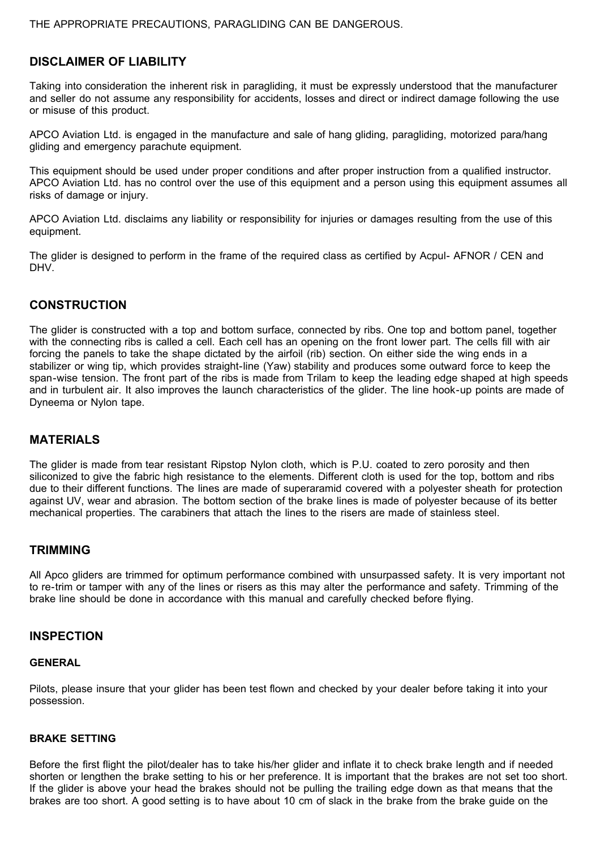### **DISCLAIMER OF LIABILITY**

Taking into consideration the inherent risk in paragliding, it must be expressly understood that the manufacturer and seller do not assume any responsibility for accidents, losses and direct or indirect damage following the use or misuse of this product.

APCO Aviation Ltd. is engaged in the manufacture and sale of hang gliding, paragliding, motorized para/hang gliding and emergency parachute equipment.

This equipment should be used under proper conditions and after proper instruction from a qualified instructor. APCO Aviation Ltd. has no control over the use of this equipment and a person using this equipment assumes all risks of damage or injury.

APCO Aviation Ltd. disclaims any liability or responsibility for injuries or damages resulting from the use of this equipment.

The glider is designed to perform in the frame of the required class as certified by Acpul- AFNOR / CEN and DHV.

### **CONSTRUCTION**

The glider is constructed with a top and bottom surface, connected by ribs. One top and bottom panel, together with the connecting ribs is called a cell. Each cell has an opening on the front lower part. The cells fill with air forcing the panels to take the shape dictated by the airfoil (rib) section. On either side the wing ends in a stabilizer or wing tip, which provides straight-line (Yaw) stability and produces some outward force to keep the span-wise tension. The front part of the ribs is made from Trilam to keep the leading edge shaped at high speeds and in turbulent air. It also improves the launch characteristics of the glider. The line hook-up points are made of Dyneema or Nylon tape.

### **MATERIALS**

The glider is made from tear resistant Ripstop Nylon cloth, which is P.U. coated to zero porosity and then siliconized to give the fabric high resistance to the elements. Different cloth is used for the top, bottom and ribs due to their different functions. The lines are made of superaramid covered with a polyester sheath for protection against UV, wear and abrasion. The bottom section of the brake lines is made of polyester because of its better mechanical properties. The carabiners that attach the lines to the risers are made of stainless steel.

#### **TRIMMING**

All Apco gliders are trimmed for optimum performance combined with unsurpassed safety. It is very important not to re-trim or tamper with any of the lines or risers as this may alter the performance and safety. Trimming of the brake line should be done in accordance with this manual and carefully checked before flying.

#### **INSPECTION**

#### **GENERAL**

Pilots, please insure that your glider has been test flown and checked by your dealer before taking it into your possession.

#### **BRAKE SETTING**

Before the first flight the pilot/dealer has to take his/her glider and inflate it to check brake length and if needed shorten or lengthen the brake setting to his or her preference. It is important that the brakes are not set too short. If the glider is above your head the brakes should not be pulling the trailing edge down as that means that the brakes are too short. A good setting is to have about 10 cm of slack in the brake from the brake guide on the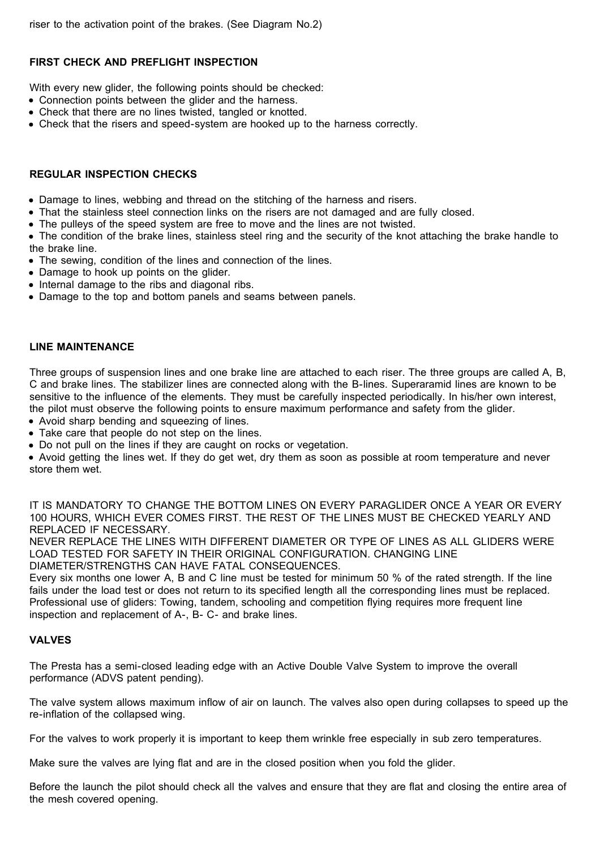### **FIRST CHECK AND PREFLIGHT INSPECTION**

With every new glider, the following points should be checked:

- Connection points between the glider and the harness.
- Check that there are no lines twisted, tangled or knotted.
- Check that the risers and speed-system are hooked up to the harness correctly.

### **REGULAR INSPECTION CHECKS**

- Damage to lines, webbing and thread on the stitching of the harness and risers.
- That the stainless steel connection links on the risers are not damaged and are fully closed.
- The pulleys of the speed system are free to move and the lines are not twisted.

• The condition of the brake lines, stainless steel ring and the security of the knot attaching the brake handle to the brake line.

- The sewing, condition of the lines and connection of the lines.
- Damage to hook up points on the glider.
- Internal damage to the ribs and diagonal ribs.
- Damage to the top and bottom panels and seams between panels.

### **LINE MAINTENANCE**

Three groups of suspension lines and one brake line are attached to each riser. The three groups are called A, B, C and brake lines. The stabilizer lines are connected along with the B-lines. Superaramid lines are known to be sensitive to the influence of the elements. They must be carefully inspected periodically. In his/her own interest, the pilot must observe the following points to ensure maximum performance and safety from the glider.

- Avoid sharp bending and squeezing of lines.
- Take care that people do not step on the lines.
- Do not pull on the lines if they are caught on rocks or vegetation.

Avoid getting the lines wet. If they do get wet, dry them as soon as possible at room temperature and never store them wet.

IT IS MANDATORY TO CHANGE THE BOTTOM LINES ON EVERY PARAGLIDER ONCE A YEAR OR EVERY 100 HOURS, WHICH EVER COMES FIRST. THE REST OF THE LINES MUST BE CHECKED YEARLY AND REPLACED IF NECESSARY.

NEVER REPLACE THE LINES WITH DIFFERENT DIAMETER OR TYPE OF LINES AS ALL GLIDERS WERE LOAD TESTED FOR SAFETY IN THEIR ORIGINAL CONFIGURATION. CHANGING LINE DIAMETER/STRENGTHS CAN HAVE FATAL CONSEQUENCES.

Every six months one lower A, B and C line must be tested for minimum 50 % of the rated strength. If the line fails under the load test or does not return to its specified length all the corresponding lines must be replaced. Professional use of gliders: Towing, tandem, schooling and competition flying requires more frequent line inspection and replacement of A-, B- C- and brake lines.

### **VALVES**

The Presta has a semi-closed leading edge with an Active Double Valve System to improve the overall performance (ADVS patent pending).

The valve system allows maximum inflow of air on launch. The valves also open during collapses to speed up the re-inflation of the collapsed wing.

For the valves to work properly it is important to keep them wrinkle free especially in sub zero temperatures.

Make sure the valves are lying flat and are in the closed position when you fold the glider.

Before the launch the pilot should check all the valves and ensure that they are flat and closing the entire area of the mesh covered opening.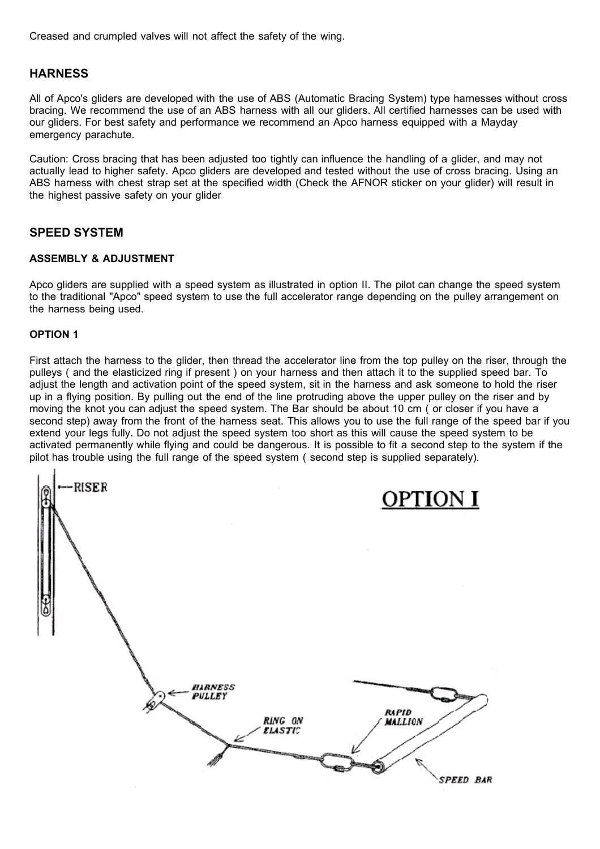Creased and crumpled valves will not affect the safety of the wing.

#### **HARNESS**

All of Apco's gliders are developed with the use of ABS (Automatic Bracing System) type harnesses without cross bracing. We recommend the use of an ABS harness with all our gliders. All certified harnesses can be used with our gliders. For best safety and performance we recommend an Apco harness equipped with a Mayday emergency parachute.

Caution: Cross bracing that has been adjusted too tightly can influence the handling of a glider, and may not actually lead to higher safety. Apco gliders are developed and tested without the use of cross bracing. Using an ABS harness with chest strap set at the specified width (Check the AFNOR sticker on your glider) will result in the highest passive safety on your glider

#### **SPEED SYSTEM**

#### **ASSEMBLY & ADJUSTMENT**

Apco gliders are supplied with a speed system as illustrated in option II. The pilot can change the speed system to the traditional "Apco" speed system to use the full accelerator range depending on the pulley arrangement on the harness being used.

#### **OPTION 1**

First attach the harness to the glider, then thread the accelerator line from the top pulley on the riser, through the pulleys ( and the elasticized ring if present ) on your harness and then attach it to the supplied speed bar. To adjust the length and activation point of the speed system, sit in the harness and ask someone to hold the riser up in a flying position. By pulling out the end of the line protruding above the upper pulley on the riser and by moving the knot you can adjust the speed system. The Bar should be about 10 cm ( or closer if you have a second step) away from the front of the harness seat. This allows you to use the full range of the speed bar if you extend your legs fully. Do not adjust the speed system too short as this will cause the speed system to be activated permanently while flying and could be dangerous. It is possible to fit a second step to the system if the pilot has trouble using the full range of the speed system ( second step is supplied separately).

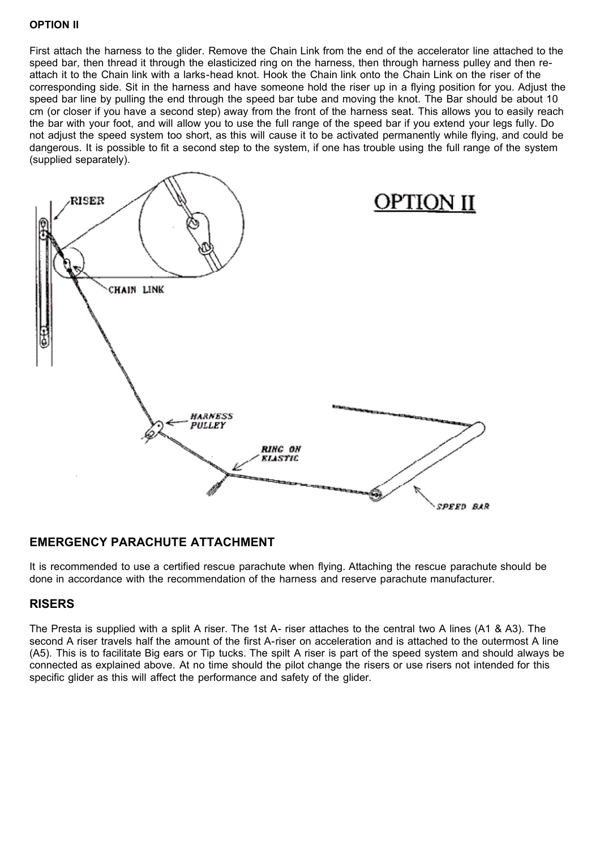#### **OPTION II**

First attach the harness to the glider. Remove the Chain Link from the end of the accelerator line attached to the speed bar, then thread it through the elasticized ring on the harness, then through harness pulley and then reattach it to the Chain link with a larks-head knot. Hook the Chain link onto the Chain Link on the riser of the corresponding side. Sit in the harness and have someone hold the riser up in a flying position for you. Adjust the speed bar line by pulling the end through the speed bar tube and moving the knot. The Bar should be about 10 cm (or closer if you have a second step) away from the front of the harness seat. This allows you to easily reach the bar with your foot, and will allow you to use the full range of the speed bar if you extend your legs fully. Do not adjust the speed system too short, as this will cause it to be activated permanently while flying, and could be dangerous. It is possible to fit a second step to the system, if one has trouble using the full range of the system (supplied separately).



### **EMERGENCY PARACHUTE ATTACHMENT**

It is recommended to use a certified rescue parachute when flying. Attaching the rescue parachute should be done in accordance with the recommendation of the harness and reserve parachute manufacturer.

### **RISERS**

The Presta is supplied with a split A riser. The 1st A- riser attaches to the central two A lines (A1 & A3). The second A riser travels half the amount of the first A-riser on acceleration and is attached to the outermost A line (A5). This is to facilitate Big ears or Tip tucks. The spilt A riser is part of the speed system and should always be connected as explained above. At no time should the pilot change the risers or use risers not intended for this specific glider as this will affect the performance and safety of the glider.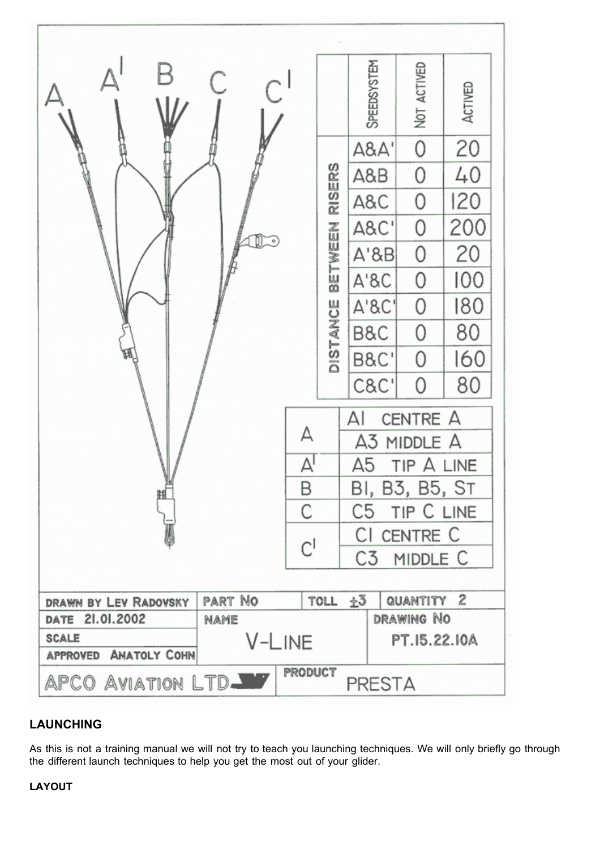

### **LAUNCHING**

As this is not a training manual we will not try to teach you launching techniques. We will only briefly go through the different launch techniques to help you get the most out of your glider.

### **LAYOUT**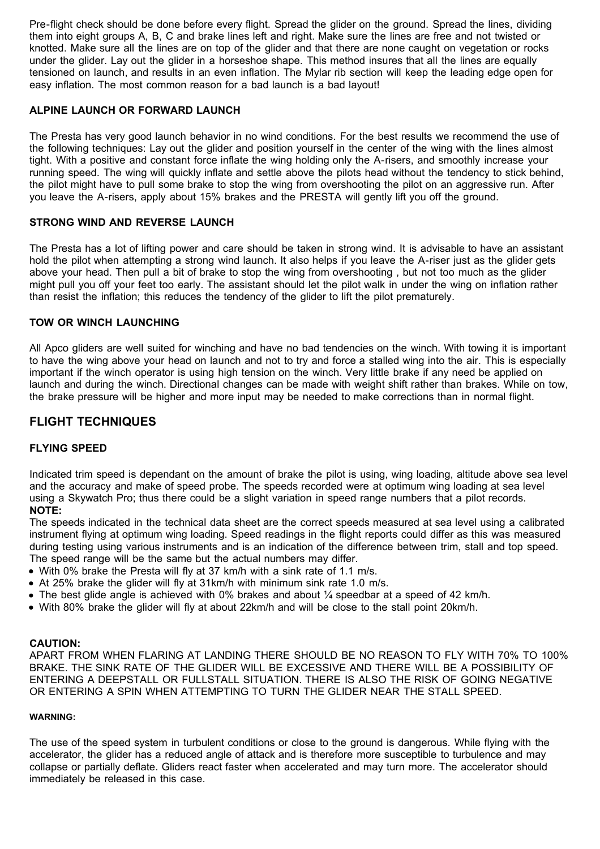Pre-flight check should be done before every flight. Spread the glider on the ground. Spread the lines, dividing them into eight groups A, B, C and brake lines left and right. Make sure the lines are free and not twisted or knotted. Make sure all the lines are on top of the glider and that there are none caught on vegetation or rocks under the glider. Lay out the glider in a horseshoe shape. This method insures that all the lines are equally tensioned on launch, and results in an even inflation. The Mylar rib section will keep the leading edge open for easy inflation. The most common reason for a bad launch is a bad layout!

#### **ALPINE LAUNCH OR FORWARD LAUNCH**

The Presta has very good launch behavior in no wind conditions. For the best results we recommend the use of the following techniques: Lay out the glider and position yourself in the center of the wing with the lines almost tight. With a positive and constant force inflate the wing holding only the A-risers, and smoothly increase your running speed. The wing will quickly inflate and settle above the pilots head without the tendency to stick behind, the pilot might have to pull some brake to stop the wing from overshooting the pilot on an aggressive run. After you leave the A-risers, apply about 15% brakes and the PRESTA will gently lift you off the ground.

#### **STRONG WIND AND REVERSE LAUNCH**

The Presta has a lot of lifting power and care should be taken in strong wind. It is advisable to have an assistant hold the pilot when attempting a strong wind launch. It also helps if you leave the A-riser just as the glider gets above your head. Then pull a bit of brake to stop the wing from overshooting , but not too much as the glider might pull you off your feet too early. The assistant should let the pilot walk in under the wing on inflation rather than resist the inflation; this reduces the tendency of the glider to lift the pilot prematurely.

#### **TOW OR WINCH LAUNCHING**

All Apco gliders are well suited for winching and have no bad tendencies on the winch. With towing it is important to have the wing above your head on launch and not to try and force a stalled wing into the air. This is especially important if the winch operator is using high tension on the winch. Very little brake if any need be applied on launch and during the winch. Directional changes can be made with weight shift rather than brakes. While on tow, the brake pressure will be higher and more input may be needed to make corrections than in normal flight.

### **FLIGHT TECHNIQUES**

#### **FLYING SPEED**

Indicated trim speed is dependant on the amount of brake the pilot is using, wing loading, altitude above sea level and the accuracy and make of speed probe. The speeds recorded were at optimum wing loading at sea level using a Skywatch Pro; thus there could be a slight variation in speed range numbers that a pilot records. **NOTE:**

The speeds indicated in the technical data sheet are the correct speeds measured at sea level using a calibrated instrument flying at optimum wing loading. Speed readings in the flight reports could differ as this was measured during testing using various instruments and is an indication of the difference between trim, stall and top speed. The speed range will be the same but the actual numbers may differ.

- With 0% brake the Presta will fly at 37 km/h with a sink rate of 1.1 m/s.
- $\bullet$  At 25% brake the glider will fly at 31km/h with minimum sink rate 1.0 m/s.
- The best glide angle is achieved with 0% brakes and about  $\frac{1}{4}$  speedbar at a speed of 42 km/h.
- With 80% brake the glider will fly at about 22km/h and will be close to the stall point 20km/h.

#### **CAUTION:**

APART FROM WHEN FLARING AT LANDING THERE SHOULD BE NO REASON TO FLY WITH 70% TO 100% BRAKE. THE SINK RATE OF THE GLIDER WILL BE EXCESSIVE AND THERE WILL BE A POSSIBILITY OF ENTERING A DEEPSTALL OR FULLSTALL SITUATION. THERE IS ALSO THE RISK OF GOING NEGATIVE OR ENTERING A SPIN WHEN ATTEMPTING TO TURN THE GLIDER NEAR THE STALL SPEED.

#### **WARNING:**

The use of the speed system in turbulent conditions or close to the ground is dangerous. While flying with the accelerator, the glider has a reduced angle of attack and is therefore more susceptible to turbulence and may collapse or partially deflate. Gliders react faster when accelerated and may turn more. The accelerator should immediately be released in this case.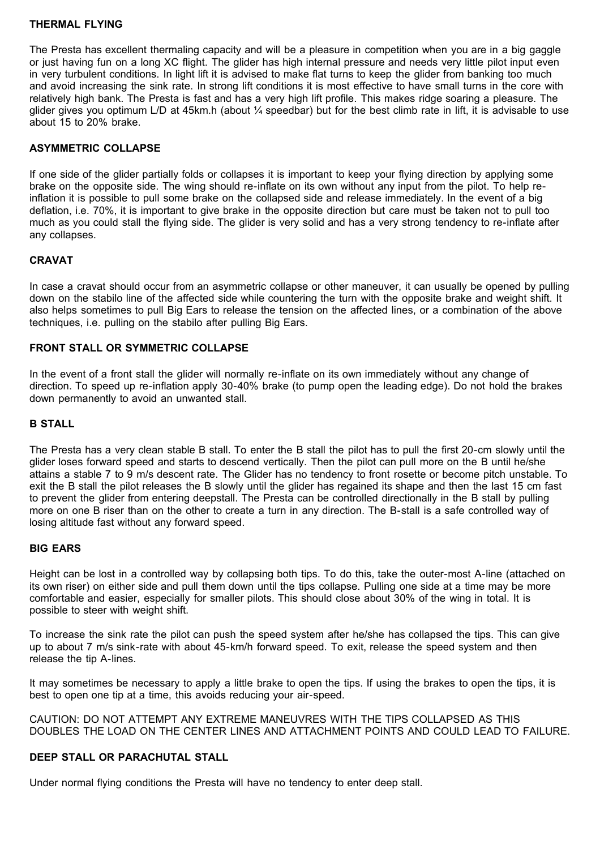#### **THERMAL FLYING**

The Presta has excellent thermaling capacity and will be a pleasure in competition when you are in a big gaggle or just having fun on a long XC flight. The glider has high internal pressure and needs very little pilot input even in very turbulent conditions. In light lift it is advised to make flat turns to keep the glider from banking too much and avoid increasing the sink rate. In strong lift conditions it is most effective to have small turns in the core with relatively high bank. The Presta is fast and has a very high lift profile. This makes ridge soaring a pleasure. The glider gives you optimum L/D at 45km.h (about  $\frac{1}{4}$  speedbar) but for the best climb rate in lift, it is advisable to use about 15 to 20% brake.

#### **ASYMMETRIC COLLAPSE**

If one side of the glider partially folds or collapses it is important to keep your flying direction by applying some brake on the opposite side. The wing should re-inflate on its own without any input from the pilot. To help reinflation it is possible to pull some brake on the collapsed side and release immediately. In the event of a big deflation, i.e. 70%, it is important to give brake in the opposite direction but care must be taken not to pull too much as you could stall the flying side. The glider is very solid and has a very strong tendency to re-inflate after any collapses.

#### **CRAVAT**

In case a cravat should occur from an asymmetric collapse or other maneuver, it can usually be opened by pulling down on the stabilo line of the affected side while countering the turn with the opposite brake and weight shift. It also helps sometimes to pull Big Ears to release the tension on the affected lines, or a combination of the above techniques, i.e. pulling on the stabilo after pulling Big Ears.

#### **FRONT STALL OR SYMMETRIC COLLAPSE**

In the event of a front stall the glider will normally re-inflate on its own immediately without any change of direction. To speed up re-inflation apply 30-40% brake (to pump open the leading edge). Do not hold the brakes down permanently to avoid an unwanted stall.

#### **B STALL**

The Presta has a very clean stable B stall. To enter the B stall the pilot has to pull the first 20-cm slowly until the glider loses forward speed and starts to descend vertically. Then the pilot can pull more on the B until he/she attains a stable 7 to 9 m/s descent rate. The Glider has no tendency to front rosette or become pitch unstable. To exit the B stall the pilot releases the B slowly until the glider has regained its shape and then the last 15 cm fast to prevent the glider from entering deepstall. The Presta can be controlled directionally in the B stall by pulling more on one B riser than on the other to create a turn in any direction. The B-stall is a safe controlled way of losing altitude fast without any forward speed.

#### **BIG EARS**

Height can be lost in a controlled way by collapsing both tips. To do this, take the outer-most A-line (attached on its own riser) on either side and pull them down until the tips collapse. Pulling one side at a time may be more comfortable and easier, especially for smaller pilots. This should close about 30% of the wing in total. It is possible to steer with weight shift.

To increase the sink rate the pilot can push the speed system after he/she has collapsed the tips. This can give up to about 7 m/s sink-rate with about 45-km/h forward speed. To exit, release the speed system and then release the tip A-lines.

It may sometimes be necessary to apply a little brake to open the tips. If using the brakes to open the tips, it is best to open one tip at a time, this avoids reducing your air-speed.

CAUTION: DO NOT ATTEMPT ANY EXTREME MANEUVRES WITH THE TIPS COLLAPSED AS THIS DOUBLES THE LOAD ON THE CENTER LINES AND ATTACHMENT POINTS AND COULD LEAD TO FAILURE.

#### **DEEP STALL OR PARACHUTAL STALL**

Under normal flying conditions the Presta will have no tendency to enter deep stall.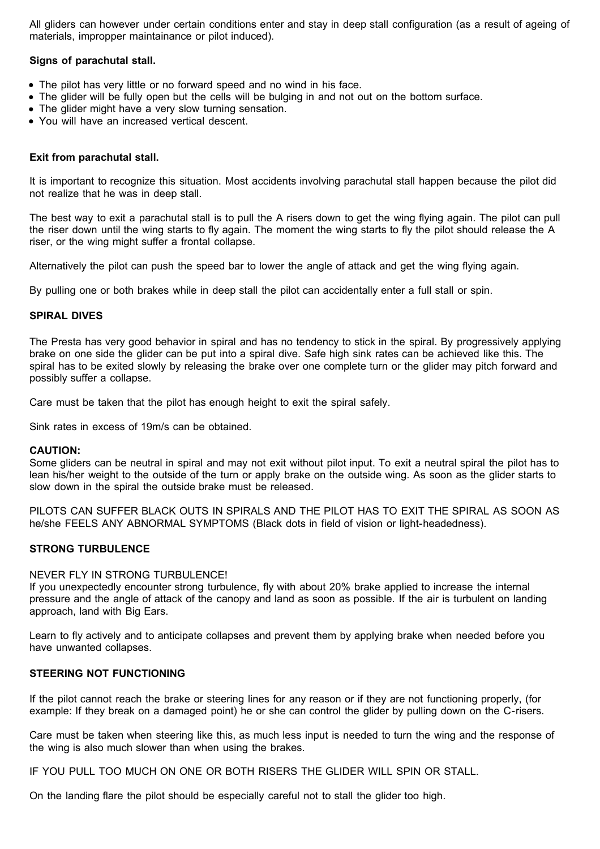All gliders can however under certain conditions enter and stay in deep stall configuration (as a result of ageing of materials, impropper maintainance or pilot induced).

#### **Signs of parachutal stall.**

- The pilot has very little or no forward speed and no wind in his face.
- The glider will be fully open but the cells will be bulging in and not out on the bottom surface.
- The glider might have a very slow turning sensation.
- You will have an increased vertical descent.

#### **Exit from parachutal stall.**

It is important to recognize this situation. Most accidents involving parachutal stall happen because the pilot did not realize that he was in deep stall.

The best way to exit a parachutal stall is to pull the A risers down to get the wing flying again. The pilot can pull the riser down until the wing starts to fly again. The moment the wing starts to fly the pilot should release the A riser, or the wing might suffer a frontal collapse.

Alternatively the pilot can push the speed bar to lower the angle of attack and get the wing flying again.

By pulling one or both brakes while in deep stall the pilot can accidentally enter a full stall or spin.

#### **SPIRAL DIVES**

The Presta has very good behavior in spiral and has no tendency to stick in the spiral. By progressively applying brake on one side the glider can be put into a spiral dive. Safe high sink rates can be achieved like this. The spiral has to be exited slowly by releasing the brake over one complete turn or the glider may pitch forward and possibly suffer a collapse.

Care must be taken that the pilot has enough height to exit the spiral safely.

Sink rates in excess of 19m/s can be obtained.

#### **CAUTION:**

Some gliders can be neutral in spiral and may not exit without pilot input. To exit a neutral spiral the pilot has to lean his/her weight to the outside of the turn or apply brake on the outside wing. As soon as the glider starts to slow down in the spiral the outside brake must be released.

PILOTS CAN SUFFER BLACK OUTS IN SPIRALS AND THE PILOT HAS TO EXIT THE SPIRAL AS SOON AS he/she FEELS ANY ABNORMAL SYMPTOMS (Black dots in field of vision or light-headedness).

#### **STRONG TURBULENCE**

#### NEVER FLY IN STRONG TURBULENCE!

If you unexpectedly encounter strong turbulence, fly with about 20% brake applied to increase the internal pressure and the angle of attack of the canopy and land as soon as possible. If the air is turbulent on landing approach, land with Big Ears.

Learn to fly actively and to anticipate collapses and prevent them by applying brake when needed before you have unwanted collapses.

#### **STEERING NOT FUNCTIONING**

If the pilot cannot reach the brake or steering lines for any reason or if they are not functioning properly, (for example: If they break on a damaged point) he or she can control the glider by pulling down on the C-risers.

Care must be taken when steering like this, as much less input is needed to turn the wing and the response of the wing is also much slower than when using the brakes.

IF YOU PULL TOO MUCH ON ONE OR BOTH RISERS THE GLIDER WILL SPIN OR STALL.

On the landing flare the pilot should be especially careful not to stall the glider too high.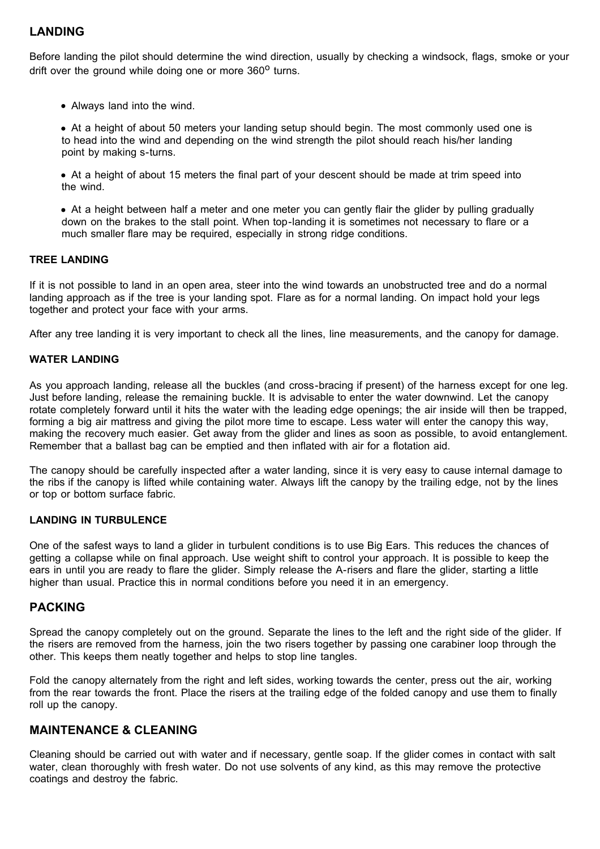### **LANDING**

Before landing the pilot should determine the wind direction, usually by checking a windsock, flags, smoke or your drift over the ground while doing one or more  $360^{\circ}$  turns.

Always land into the wind.

• At a height of about 50 meters your landing setup should begin. The most commonly used one is to head into the wind and depending on the wind strength the pilot should reach his/her landing point by making s-turns.

• At a height of about 15 meters the final part of your descent should be made at trim speed into the wind.

At a height between half a meter and one meter you can gently flair the glider by pulling gradually down on the brakes to the stall point. When top-landing it is sometimes not necessary to flare or a much smaller flare may be required, especially in strong ridge conditions.

#### **TREE LANDING**

If it is not possible to land in an open area, steer into the wind towards an unobstructed tree and do a normal landing approach as if the tree is your landing spot. Flare as for a normal landing. On impact hold your legs together and protect your face with your arms.

After any tree landing it is very important to check all the lines, line measurements, and the canopy for damage.

#### **WATER LANDING**

As you approach landing, release all the buckles (and cross-bracing if present) of the harness except for one leg. Just before landing, release the remaining buckle. It is advisable to enter the water downwind. Let the canopy rotate completely forward until it hits the water with the leading edge openings; the air inside will then be trapped, forming a big air mattress and giving the pilot more time to escape. Less water will enter the canopy this way, making the recovery much easier. Get away from the glider and lines as soon as possible, to avoid entanglement. Remember that a ballast bag can be emptied and then inflated with air for a flotation aid.

The canopy should be carefully inspected after a water landing, since it is very easy to cause internal damage to the ribs if the canopy is lifted while containing water. Always lift the canopy by the trailing edge, not by the lines or top or bottom surface fabric.

#### **LANDING IN TURBULENCE**

One of the safest ways to land a glider in turbulent conditions is to use Big Ears. This reduces the chances of getting a collapse while on final approach. Use weight shift to control your approach. It is possible to keep the ears in until you are ready to flare the glider. Simply release the A-risers and flare the glider, starting a little higher than usual. Practice this in normal conditions before you need it in an emergency.

#### **PACKING**

Spread the canopy completely out on the ground. Separate the lines to the left and the right side of the glider. If the risers are removed from the harness, join the two risers together by passing one carabiner loop through the other. This keeps them neatly together and helps to stop line tangles.

Fold the canopy alternately from the right and left sides, working towards the center, press out the air, working from the rear towards the front. Place the risers at the trailing edge of the folded canopy and use them to finally roll up the canopy.

### **MAINTENANCE & CLEANING**

Cleaning should be carried out with water and if necessary, gentle soap. If the glider comes in contact with salt water, clean thoroughly with fresh water. Do not use solvents of any kind, as this may remove the protective coatings and destroy the fabric.